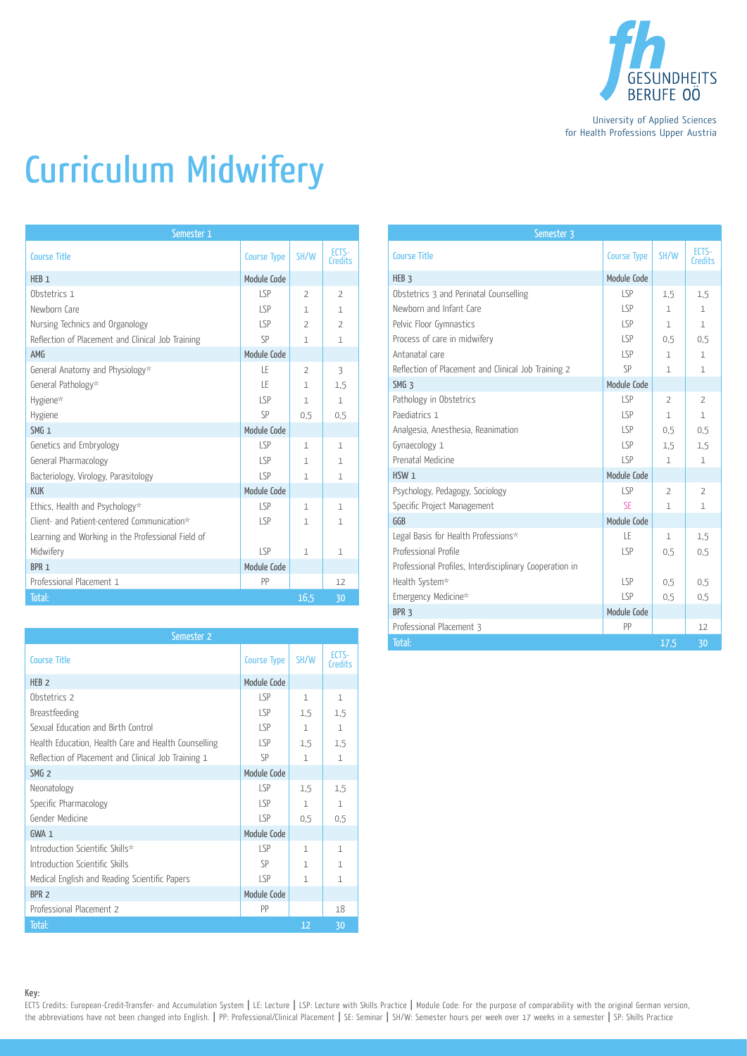

University of Applied Sciences for Health Professions Upper Austria

## Curriculum Midwifery

| Semester 1                                        |                    |                          |                          |
|---------------------------------------------------|--------------------|--------------------------|--------------------------|
| <b>Course Title</b>                               | <b>Course Type</b> | SH/W                     | FCTS-<br>Credits         |
| HFR <sub>1</sub>                                  | Module Code        |                          |                          |
| Obstetrics 1                                      | LSP                | $\overline{\phantom{a}}$ | $\overline{\phantom{a}}$ |
| Newborn Care                                      | LSP                | 1                        | $\mathbf{1}$             |
| Nursing Technics and Organology                   | LSP                | $\overline{2}$           | $\overline{2}$           |
| Reflection of Placement and Clinical Job Training | SP                 | 1                        | $\mathbf{1}$             |
| AMG                                               | Module Code        |                          |                          |
| General Anatomy and Physiology*                   | ΤF                 | $\overline{z}$           | 3                        |
| General Pathology*                                | ΙF                 | 1                        | 1,5                      |
| Hygiene*                                          | SP                 | $\mathbf{1}$             | $\mathbf{1}$             |
| Hygiene                                           | SP                 | 0.5                      | 0.5                      |
| SMG <sub>1</sub>                                  | Module Code        |                          |                          |
| Genetics and Embryology                           | LSP                | 1                        | 1                        |
| General Pharmacology                              | LSP                | $\mathbf{1}$             | $\mathbf{1}$             |
| Bacteriology, Virology, Parasitology              | LSP                | 1                        | $\mathbf{1}$             |
| <b>KUK</b>                                        | Module Code        |                          |                          |
| Ethics, Health and Psychology*                    | LSP                | $\mathbf{1}$             | $\mathbf{1}$             |
| Client- and Patient-centered Communication*       | LSP                | 1                        | $\mathbf{1}$             |
| Learning and Working in the Professional Field of |                    |                          |                          |
| Midwifery                                         | SP                 | $\mathbf{1}$             | $\mathbf{1}$             |
| BPR <sub>1</sub>                                  | Module Code        |                          |                          |
| Professional Placement 1                          | PP                 |                          | 12                       |
| Total:                                            |                    | 16,5                     | 30                       |

| Semester 2                                           |                    |              |                  |
|------------------------------------------------------|--------------------|--------------|------------------|
| <b>Course Title</b>                                  | <b>Course Type</b> | SH/W         | ECTS-<br>Credits |
| HEB <sub>2</sub>                                     | Module Code        |              |                  |
| Obstetrics 2                                         | LSP                | $\mathbf{1}$ | $\mathbf{1}$     |
| Breastfeeding                                        | SP                 | 1.5          | 1.5              |
| Sexual Education and Birth Control                   | SP                 | $\mathbf{1}$ | $\mathbf{1}$     |
| Health Education, Health Care and Health Counselling | SP                 | 1,5          | 1.5              |
| Reflection of Placement and Clinical Job Training 1  | SP                 | $\mathbf{1}$ | $\mathbf{1}$     |
| SMG <sub>2</sub>                                     | Module Code        |              |                  |
| Neonatology                                          | LSP                | 1,5          | 1,5              |
| Specific Pharmacology                                | LSP                | $\mathbf{1}$ | $\mathbf{1}$     |
| Gender Medicine                                      | SP                 | 0.5          | 0.5              |
| GWA 1                                                | Module Code        |              |                  |
| Introduction Scientific Skills*                      | SP                 | $\mathbf{1}$ | $\mathbf{1}$     |
| Introduction Scientific Skills                       | SP                 | 1            | $\mathbf{1}$     |
| Medical English and Reading Scientific Papers        | LSP                | $\mathbf{1}$ | 1                |
| BPR <sub>2</sub>                                     | Module Code        |              |                  |
| Professional Placement 2                             | PP                 |              | 18               |
| Total:                                               |                    | 12           | 30               |

| Semester 3                                              |                    |                |                  |
|---------------------------------------------------------|--------------------|----------------|------------------|
| <b>Course Title</b>                                     | <b>Course Type</b> | SH/W           | FCTS-<br>Credits |
| HEB <sub>3</sub>                                        | Module Code        |                |                  |
| Obstetrics 3 and Perinatal Counselling                  | LSP                | 1.5            | 1,5              |
| Newborn and Infant Care                                 | LSP                | $\mathbf{1}$   | $\mathbf{1}$     |
| Pelvic Floor Gymnastics                                 | LSP                | $\mathbf{1}$   | $\mathbf{1}$     |
| Process of care in midwifery                            | LSP                | 0.5            | 0.5              |
| Antanatal care                                          | LSP                | 1              | $\mathbf{1}$     |
| Reflection of Placement and Clinical Job Training 2     | SP                 | 1.             | 1                |
| SMG <sub>3</sub>                                        | Module Code        |                |                  |
| Pathology in Obstetrics                                 | LSP                | $\overline{2}$ | $\overline{2}$   |
| Paediatrics 1                                           | LSP                | $\mathbf{1}$   | $\mathbf{1}$     |
| Analgesia, Anesthesia, Reanimation                      | LSP                | 0.5            | 0.5              |
| Gynaecology 1                                           | LSP                | 1.5            | 1.5              |
| Prenatal Medicine                                       | LSP                | 1.             | 1                |
| HSW <sub>1</sub>                                        | Module Code        |                |                  |
| Psychology, Pedagogy, Sociology                         | LSP                | $\mathcal{P}$  | $\overline{2}$   |
| Specific Project Management                             | <b>SF</b>          | $\mathbf{1}$   | $\mathbf{1}$     |
| GGB                                                     | Module Code        |                |                  |
| Legal Basis for Health Professions*                     | LΕ                 | 1              | 1.5              |
| Professional Profile                                    | LSP                | 0.5            | 0.5              |
| Professional Profiles, Interdisciplinary Cooperation in |                    |                |                  |
| Health System*                                          | LSP                | 0.5            | 0.5              |
| Emergency Medicine*                                     | LSP                | 0.5            | 0.5              |
| BPR <sub>3</sub>                                        | Module Code        |                |                  |
| Professional Placement 3                                | PP                 |                | 12               |
| Total:                                                  |                    | 17,5           | 30               |

Key:

ECTS Credits: European-Credit-Transfer- and Accumulation System | LE: Lecture | LSP: Lecture with Skills Practice | Module Code: For the purpose of comparability with the original German version, the abbreviations have not been changed into English. | PP: Professional/Clinical Placement | SE: Seminar | SH/W: Semester hours per week over 17 weeks in a semester | SP: Skills Practice